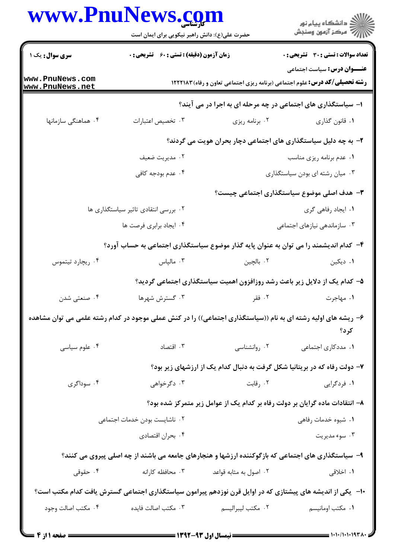## **WWW PnuNews com**

|                                  | www.PnuNews.com<br>حضرت علی(ع): دانش راهبر نیکویی برای ایمان است                                              |                                 | ر<br>دانشڪاه پيام نور<br>ا∛ مرڪز آزمون وسنڊش                                                                             |  |
|----------------------------------|---------------------------------------------------------------------------------------------------------------|---------------------------------|--------------------------------------------------------------------------------------------------------------------------|--|
| <b>سری سوال :</b> یک ۱           | <b>زمان آزمون (دقیقه) : تستی : 60 ٪ تشریحی : 0</b>                                                            |                                 | تعداد سوالات : تستي : 30 - تشريحي : 0                                                                                    |  |
| ww.PnuNews.com<br>ww.PnuNews.net |                                                                                                               |                                 | <b>عنـــوان درس:</b> سیاست اجتماعی<br><b>رشته تحصیلی/کد درس:</b> علوم اجتماعی (برنامه ریزی اجتماعی تعاون و رفاه) ۱۲۲۲۱۸۳ |  |
|                                  |                                                                                                               |                                 | ا- سیاستگذاری های اجتماعی در چه مرحله ای به اجرا در می آیند؟                                                             |  |
| ۰۴ هماهنگی سازمانها              | ۰۳ تخصيص اعتبارات                                                                                             | ۰۲ برنامه ریزی                  | ٠١ قانون گذاري                                                                                                           |  |
|                                  | ۲- به چه دلیل سیاستگذاری های اجتماعی دچار بحران هویت می گردند؟                                                |                                 |                                                                                                                          |  |
|                                  | ۰۲ مديريت ضعيف                                                                                                |                                 | ۰۱ عدم برنامه ریزی مناسب                                                                                                 |  |
|                                  | ۰۴ عدم بودجه کافی                                                                                             | ۰۳ میان رشته ای بودن سیاستگذاری |                                                                                                                          |  |
|                                  |                                                                                                               |                                 | ۳- هدف اصلی موضوع سیاستگذاری اجتماعی چیست؟                                                                               |  |
|                                  | ۰۲ بررسی انتقادی تاثیر سیاستگذاری ها                                                                          |                                 | ٠١. ايجاد رفاهي گري                                                                                                      |  |
|                                  | ۰۴ ایجاد برابری فرصت ها                                                                                       |                                 | ۰۳ سازماندهی نیازهای اجتماعی                                                                                             |  |
|                                  | ۴– کدام اندیشمند را می توان به عنوان پایه گذار موضوع سیاستگذاری اجتماعی به حساب آورد؟                         |                                 |                                                                                                                          |  |
| ۰۴ ریچارد تیتموس                 | ۰۳ مالپاس                                                                                                     | ۰۲ بالچين                       | ۰۱ دیکین                                                                                                                 |  |
|                                  |                                                                                                               |                                 | ۵– کدام یک از دلایل زیر باعث رشد روزافزون اهمیت سیاستگذاری اجتماعی گردید؟                                                |  |
| ۰۴ صنعتی شدن                     | ۰۳ گسترش شهرها                                                                                                | ۰۲ فقر                          | ۰۱ مهاجرت                                                                                                                |  |
|                                  | ۶– ریشه های اولیه رشته ای به نام ((سیاستگذاری اجتماعی)) را در کنش عملی موجود در کدام رشته علمی می توان مشاهده |                                 | کرد؟                                                                                                                     |  |
| ۰۴ علوم سياسي                    | ۰۳ اقتصاد                                                                                                     | ۰۲ روانشناسی                    | ۰۱ مددکاری اجتماعی                                                                                                       |  |
|                                  | ۷- دولت رفاه که در بریتانیا شکل گرفت به دنبال کدام یک از ارزشهای زیر بود؟                                     |                                 |                                                                                                                          |  |
| ۰۴ سوداگری                       | ۰۳ دگرخواه <i>ی</i>                                                                                           | ۰۲ رقابت                        | ۱. فردگرایی                                                                                                              |  |
|                                  |                                                                                                               |                                 | ۸– انتقادات ماده گرایان بر دولت رفاه بر کدام یک از عوامل زیر متمرکز شده بود؟                                             |  |
| ۰۲ ناشایست بودن خدمات اجتماعی    |                                                                                                               |                                 | ۰۱ شیوه خدمات رفاهی                                                                                                      |  |
|                                  | ۰۴ بحران اقتصادي                                                                                              |                                 | ۰۳ سوء مديريت                                                                                                            |  |
|                                  | ۹- سیاستگذاری های اجتماعی که بازگوکننده ارزشها و هنجارهای جامعه می باشند از چه اصلی پیروی می کنند؟            |                                 |                                                                                                                          |  |
| ۰۴ حقوقی                         | ۰۳ محافظه کارانه                                                                                              | ۰۲ اصول به مثابه قواعد          | ۱. اخلاق <sub>ی</sub>                                                                                                    |  |
|                                  | ∙۱−۔ یکی از اندیشه های پیشتازی که در اوایل قرن نوزدهم پیرامون سیاستگذاری اجتماعی گسترش یافت کدام مکتب است؟    |                                 |                                                                                                                          |  |
| ۰۴ مكتب اصالت وجود               | ۰۳ مكتب اصالت فايده                                                                                           | ٠٢ مكتب ليبراليسم               | ۰۱ مکتب اومانیسم                                                                                                         |  |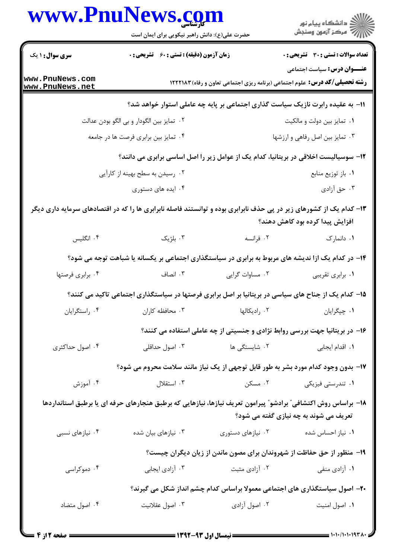|                                    | www.PnuNews.com                                                                                                     |                   |                                                                                                                          |
|------------------------------------|---------------------------------------------------------------------------------------------------------------------|-------------------|--------------------------------------------------------------------------------------------------------------------------|
|                                    | حضرت علی(ع): دانش راهبر نیکویی برای ایمان است                                                                       |                   | ر<br>دانشڪاه پيام نور)<br>اڳ مرڪز آزمون وسنڊش                                                                            |
| <b>سری سوال : ۱ یک</b>             | <b>زمان آزمون (دقیقه) : تستی : 60 ٪ تشریحی : 0</b>                                                                  |                   | تعداد سوالات : تستي : 30 - تشريحي : 0                                                                                    |
| www.PnuNews.com<br>www.PnuNews.net |                                                                                                                     |                   | <b>عنـــوان درس:</b> سیاست اجتماعی<br><b>رشته تحصیلی/کد درس:</b> علوم اجتماعی (برنامه ریزی اجتماعی تعاون و رفاه) ۱۲۲۲۱۸۳ |
|                                    |                                                                                                                     |                   | 1۱– به عقیده رابرت نازیک سیاست گذاری اجتماعی بر پایه چه عاملی استوار خواهد شد؟                                           |
|                                    | ۰۲ تمایز بین الگودار و بی الگو بودن عدالت                                                                           |                   | ۰۱ تمایز بین دولت و مالکیت                                                                                               |
|                                    | ۰۴ تمایز بین برابری فرصت ها در جامعه                                                                                |                   | ۰۳ تمایز بین اصل رفاهی و ارزشها                                                                                          |
|                                    | ۱۲- سوسیالیست اخلاقی در بریتانیا، کدام یک از عوامل زیر را اصل اساسی برابری می دانند؟                                |                   |                                                                                                                          |
|                                    | ۰۲ رسیدن به سطح بهینه از کارآیی                                                                                     |                   | ۰۱ باز توزیع منابع                                                                                                       |
|                                    | ۰۴ ایده های دستوری                                                                                                  |                   | ۰۳ حق آزادی                                                                                                              |
|                                    | ۱۳– کدام یک از کشورهای زیر در پی حذف نابرابری بوده و توانستند فاصله نابرابری ها را که در اقتصادهای سرمایه داری دیگر |                   | افزایش پیدا کرده بود کاهش دهند؟                                                                                          |
| ۰۴ انگلیس                          | ۰۳ بلژیک                                                                                                            | ۰۲ فرانسه         | ۰۱ دانمارک                                                                                                               |
|                                    | ۱۴- در کدام یک ازا ندیشه های مربوط به برابری در سیاستگذاری اجتماعی بر یکسانه یا شباهت توجه می شود؟                  |                   |                                                                                                                          |
| ۰۴ برابري فرصتها                   | ۰۳ انصاف                                                                                                            | ۰۲ مساوات گرایی   | ٠١ برابري تقريبي                                                                                                         |
|                                    | ۱۵– کدام یک از جناح های سیاسی در بریتانیا بر اصل برابری فرصتها در سیاستگذاری اجتماعی تاکید می کنند؟                 |                   |                                                                                                                          |
| ۰۴ راستگرايان                      | ۰۳ محافظه کاران                                                                                                     | ۰۲ رادیکالها      | ٠١ چپگرايان                                                                                                              |
|                                    |                                                                                                                     |                   | ۱۶- در بریتانیا جهت بررسی روابط نژادی و جنسیتی از چه عاملی استفاده می کنند؟                                              |
| ۰۴ اصول حداکثری                    | ۰۳ اصول حداقلی                                                                                                      | ۰۲ شایستگی ها     | ٠١. اقدام ايجابي                                                                                                         |
|                                    | ۱۷- بدون وجود کدام مورد بشر به طور قابل توجهی از یک نیاز مانند سلامت محروم می شود؟                                  |                   |                                                                                                                          |
| ۰۴ آموزش                           | ۰۳ استقلال                                                                                                          | ۰۲ مسکن           | ۰۱ تندرستی فیزیکی                                                                                                        |
|                                    | ۱۸– براساس روش اکتشافی ؒ برادشو ؒ پیرامون تعریف نیازها، نیازهایی که برطبق هنجارهای حرفه ای یا برطبق استانداردها     |                   | تعریف می شوند به چه نیازی گفته می شود؟                                                                                   |
| ۰۴ نیازهای نسبی                    | ۰۳ نیازهای بیان شده                                                                                                 | ۰۲ نیازهای دستوری | ۰۱ نیاز احساس شده                                                                                                        |
|                                    |                                                                                                                     |                   | ۱۹- منظور از حق حفاظت از شهروندان برای مصون ماندن از زیان دیگران چیست؟                                                   |
| ۰۴ دموکراسی                        | ۰۳ آزادی ایجابی                                                                                                     | ۰۲ آزادی مثبت     | ۰۱ آزادی منفی                                                                                                            |
|                                    |                                                                                                                     |                   | ۲۰- اصول سیاستگذاری های اجتماعی معمولا براساس کدام چشم انداز شکل می گیرند؟                                               |
| ۰۴ اصول متضاد                      | ۰۳ اصول عقلانيت                                                                                                     | ۰۲ اصول آزادی     | ٠١. اصول امنيت                                                                                                           |
|                                    |                                                                                                                     |                   |                                                                                                                          |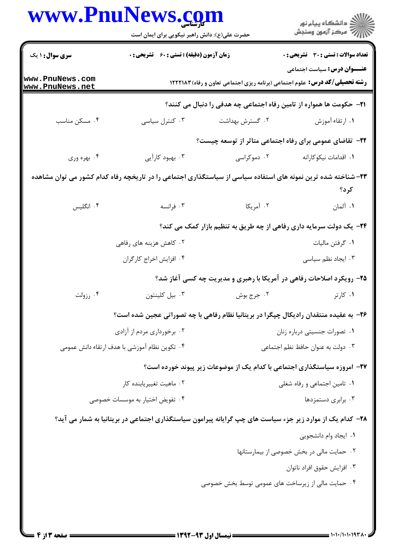|                                    | حضرت علی(ع): دانش راهبر نیکویی برای ایمان است                                      |                 | ڪ دانشڪاه پيام نور<br>/> مرڪز آزمون وسنڊش                                                                            |  |
|------------------------------------|------------------------------------------------------------------------------------|-----------------|----------------------------------------------------------------------------------------------------------------------|--|
| <b>سری سوال : ۱ یک</b>             | <b>زمان آزمون (دقیقه) : تستی : 60 ٪ تشریحی : 0</b>                                 |                 | <b>تعداد سوالات : تستی : 30 ٪ تشریحی : 0</b>                                                                         |  |
| www.PnuNews.com<br>www.PnuNews.net | <b>رشته تحصیلی/کد درس:</b> علوم اجتماعی (برنامه ریزی اجتماعی تعاون و رفاه) ۱۲۲۲۱۸۳ |                 | <b>عنـــوان درس :</b> سیاست اجتماعی                                                                                  |  |
|                                    |                                                                                    |                 | <b>۲۱</b> - حکومت ها همواره از تامین رفاه اجتماعی چه هدفی را دنبال می کنند؟                                          |  |
| ۰۴ مسکن مناسب                      | ۰۳ کنترل سیاسی                                                                     | ۰۲ گسترش بهداشت | ٠١. ارتقاء آموزش                                                                                                     |  |
|                                    |                                                                                    |                 | <b>۲۲</b> - تقاضای عمومی برای رفاه اجتماعی متاثر از توسعه چیست؟                                                      |  |
| ۰۴ بهره وري                        | ۰۳ بهبود کارآیی                                                                    | ۰۲ دموکراسی     | ٠١. اقدامات نيكوكارانه                                                                                               |  |
|                                    |                                                                                    |                 | ۲۳–شناخته شده ترین نمونه های استفاده سیاسی از سیاستگذاری اجتماعی را در تاریخچه رفاه کدام کشور می توان مشاهده<br>کرد؟ |  |
| ۰۴ انگلیس                          | ۰۳ فرانسه                                                                          | ۰۲ آمریکا       | ۰۱ آلمان                                                                                                             |  |
|                                    | ۲۴- یک دولت سرمایه داری رفاهی از چه طریق به تنظیم بازار کمک می کند؟                |                 |                                                                                                                      |  |
|                                    | ۰۲ کاهش هزینه های رفاهی                                                            |                 | ٠١ گرفتن ماليات                                                                                                      |  |
|                                    | ۰۴ افزایش اخراج کارگران                                                            |                 | ۰۳ ایجاد نظم سیاسی                                                                                                   |  |
|                                    |                                                                                    |                 | ۲۵- رویکرد اصلاحات رفاهی در آمریکا با رهبری و مدیریت چه کسی آغاز شد؟                                                 |  |
| ۰۴ رزولت                           | ٠٣ بيل كلينتون                                                                     | ۰۲ جرج بوش      | ۰۱ کارتر                                                                                                             |  |
|                                    |                                                                                    |                 | ۲۶- به عقیده منتقدان رادیکال چپگرا در بریتانیا نظام رفاهی با چه تصوراتی عجین شده است؟                                |  |
|                                    | ۰۲ برخورداری مردم از آزادی                                                         |                 | ٠١ تصورات جنسيتي درباره زنان                                                                                         |  |
|                                    | ۰۴ تکوین نظام آموزشی با هدف ارتقاء دانش عمومی                                      |                 | ٠٣ دولت به عنوان حافظ نظم اجتماعي                                                                                    |  |
|                                    |                                                                                    |                 | ۲۷- امروزه سیاستگذاری اجتماعی با کدام یک از موضوعات زیر پیوند خورده است؟                                             |  |
|                                    | ۰۲ ماهیت تغییریابنده کار                                                           |                 | ۰۱ تامین اجتماعی و رفاه شغلی                                                                                         |  |
|                                    | ۰۴ تفویض اختیار به موسسات خصوصی                                                    |                 | ۰۳ برابری دستمزدها                                                                                                   |  |
|                                    |                                                                                    |                 | ۲۸– کدام یک از موارد زیر جزء سیاست های چپ گرایانه پیرامون سیاستگذاری اجتماعی در بریتانیا به شمار می آید؟             |  |
|                                    |                                                                                    |                 | ۰۱ ایجاد وام دانشجویی                                                                                                |  |
|                                    |                                                                                    |                 | ٠٢ حمايت مالى در بخش خصوصى از بيمارستانها                                                                            |  |
|                                    |                                                                                    |                 | ۰۳ افزايش حقوق افراد ناتوان                                                                                          |  |